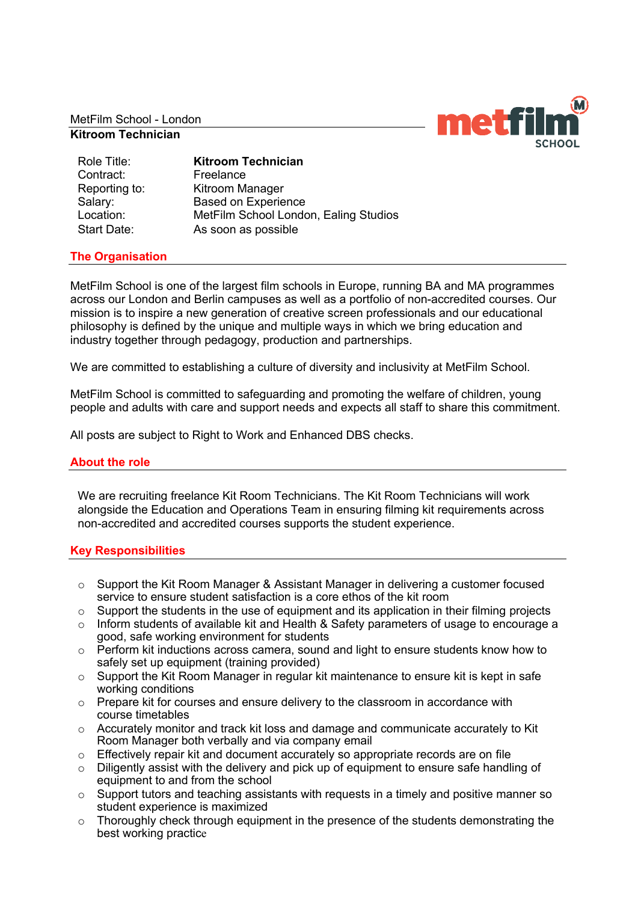MetFilm School - London

## **Kitroom Technician**

Contract: Freelance

Role Title: **Kitroom Technician** Reporting to: Kitroom Manager Salary: Based on Experience Location: MetFilm School London, Ealing Studios Start Date: As soon as possible

# **The Organisation**

MetFilm School is one of the largest film schools in Europe, running BA and MA programmes across our London and Berlin campuses as well as a portfolio of non-accredited courses. Our mission is to inspire a new generation of creative screen professionals and our educational philosophy is defined by the unique and multiple ways in which we bring education and industry together through pedagogy, production and partnerships.

We are committed to establishing a culture of diversity and inclusivity at MetFilm School.

MetFilm School is committed to safeguarding and promoting the welfare of children, young people and adults with care and support needs and expects all staff to share this commitment.

All posts are subject to Right to Work and Enhanced DBS checks.

## **About the role**

We are recruiting freelance Kit Room Technicians. The Kit Room Technicians will work alongside the Education and Operations Team in ensuring filming kit requirements across non-accredited and accredited courses supports the student experience.

#### **Key Responsibilities**

- o Support the Kit Room Manager & Assistant Manager in delivering a customer focused service to ensure student satisfaction is a core ethos of the kit room
- $\circ$  Support the students in the use of equipment and its application in their filming projects
- o Inform students of available kit and Health & Safety parameters of usage to encourage a good, safe working environment for students
- o Perform kit inductions across camera, sound and light to ensure students know how to safely set up equipment (training provided)
- $\circ$  Support the Kit Room Manager in regular kit maintenance to ensure kit is kept in safe working conditions
- o Prepare kit for courses and ensure delivery to the classroom in accordance with course timetables
- $\circ$  Accurately monitor and track kit loss and damage and communicate accurately to Kit Room Manager both verbally and via company email
- $\circ$  Effectively repair kit and document accurately so appropriate records are on file
- o Diligently assist with the delivery and pick up of equipment to ensure safe handling of equipment to and from the school
- o Support tutors and teaching assistants with requests in a timely and positive manner so student experience is maximized
- o Thoroughly check through equipment in the presence of the students demonstrating the best working practice